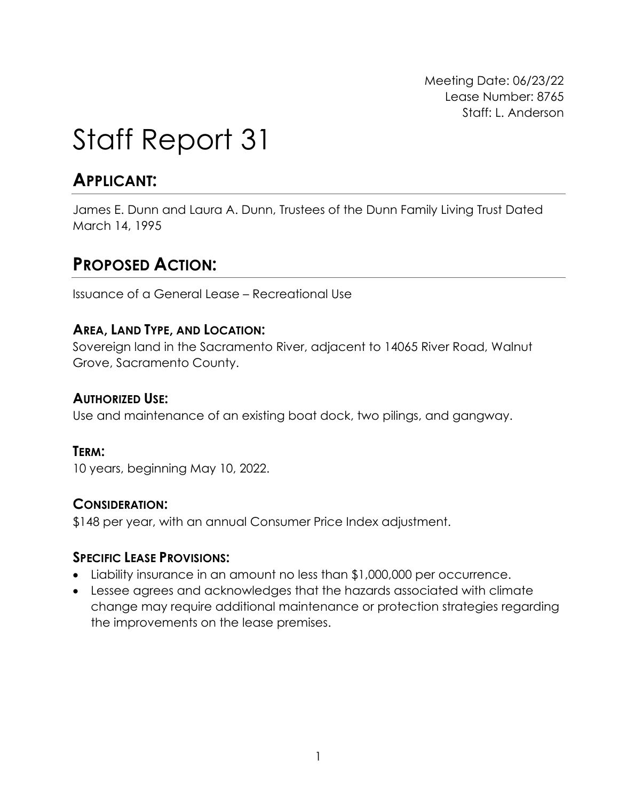Meeting Date: 06/23/22 Lease Number: 8765 Staff: L. Anderson

# Staff Report 31

# **APPLICANT:**

James E. Dunn and Laura A. Dunn, Trustees of the Dunn Family Living Trust Dated March 14, 1995

# **PROPOSED ACTION:**

Issuance of a General Lease – Recreational Use

## **AREA, LAND TYPE, AND LOCATION:**

Sovereign land in the Sacramento River, adjacent to 14065 River Road, Walnut Grove, Sacramento County.

#### **AUTHORIZED USE:**

Use and maintenance of an existing boat dock, two pilings, and gangway.

#### **TERM:**

10 years, beginning May 10, 2022.

#### **CONSIDERATION:**

\$148 per year, with an annual Consumer Price Index adjustment.

#### **SPECIFIC LEASE PROVISIONS:**

- Liability insurance in an amount no less than \$1,000,000 per occurrence.
- Lessee agrees and acknowledges that the hazards associated with climate change may require additional maintenance or protection strategies regarding the improvements on the lease premises.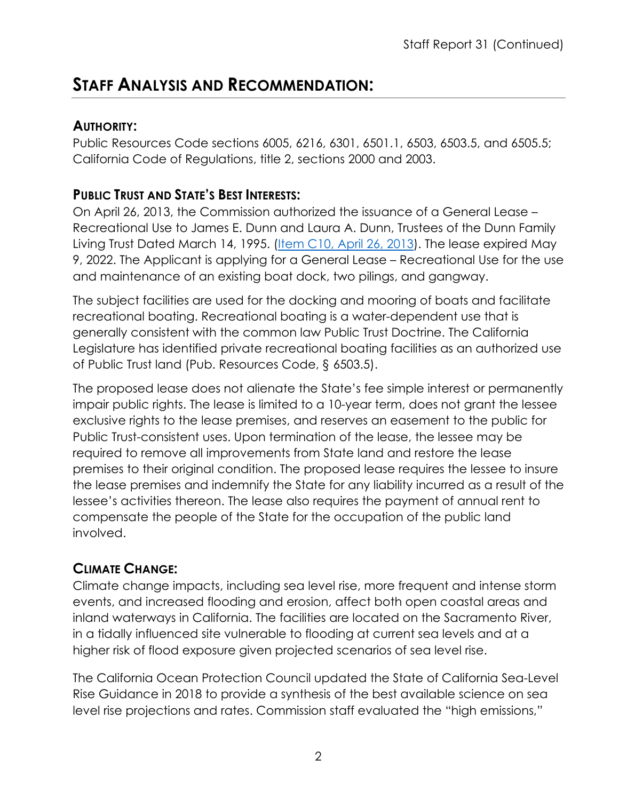# **STAFF ANALYSIS AND RECOMMENDATION:**

## **AUTHORITY:**

Public Resources Code sections 6005, 6216, 6301, 6501.1, 6503, 6503.5, and 6505.5; California Code of Regulations, title 2, sections 2000 and 2003.

## **PUBLIC TRUST AND STATE'S BEST INTERESTS:**

On April 26, 2013, the Commission authorized the issuance of a General Lease – Recreational Use to James E. Dunn and Laura A. Dunn, Trustees of the Dunn Family Living Trust Dated March 14, 1995. [\(Item C10, April 26, 2013\)](https://www.slc.ca.gov/Meeting_Summaries/2013_Documents/04-26-13/Items_and_Exhibits/C10.pdf). The lease expired May 9, 2022. The Applicant is applying for a General Lease – Recreational Use for the use and maintenance of an existing boat dock, two pilings, and gangway.

The subject facilities are used for the docking and mooring of boats and facilitate recreational boating. Recreational boating is a water-dependent use that is generally consistent with the common law Public Trust Doctrine. The California Legislature has identified private recreational boating facilities as an authorized use of Public Trust land (Pub. Resources Code, § 6503.5).

The proposed lease does not alienate the State's fee simple interest or permanently impair public rights. The lease is limited to a 10-year term, does not grant the lessee exclusive rights to the lease premises, and reserves an easement to the public for Public Trust-consistent uses. Upon termination of the lease, the lessee may be required to remove all improvements from State land and restore the lease premises to their original condition. The proposed lease requires the lessee to insure the lease premises and indemnify the State for any liability incurred as a result of the lessee's activities thereon. The lease also requires the payment of annual rent to compensate the people of the State for the occupation of the public land involved.

## **CLIMATE CHANGE:**

Climate change impacts, including sea level rise, more frequent and intense storm events, and increased flooding and erosion, affect both open coastal areas and inland waterways in California. The facilities are located on the Sacramento River, in a tidally influenced site vulnerable to flooding at current sea levels and at a higher risk of flood exposure given projected scenarios of sea level rise.

The California Ocean Protection Council updated the State of California Sea-Level Rise Guidance in 2018 to provide a synthesis of the best available science on sea level rise projections and rates. Commission staff evaluated the "high emissions,"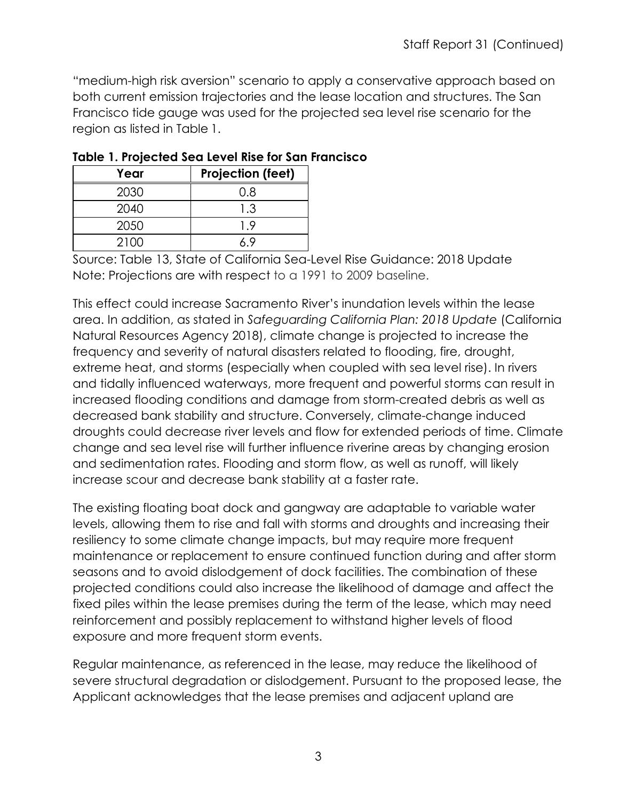"medium-high risk aversion" scenario to apply a conservative approach based on both current emission trajectories and the lease location and structures. The San Francisco tide gauge was used for the projected sea level rise scenario for the region as listed in Table 1.

| Year | <b>Projection (feet)</b> |
|------|--------------------------|
| 2030 | 0.8                      |
| 2040 | 1.3                      |
| 2050 | 19                       |
| 2100 |                          |

|  |  |  |  |  | Table 1. Projected Sea Level Rise for San Francisco |  |
|--|--|--|--|--|-----------------------------------------------------|--|
|  |  |  |  |  |                                                     |  |

Source: Table 13, State of California Sea-Level Rise Guidance: 2018 Update Note: Projections are with respect to a 1991 to 2009 baseline.

This effect could increase Sacramento River's inundation levels within the lease area. In addition, as stated in *Safeguarding California Plan: 2018 Update* (California Natural Resources Agency 2018), climate change is projected to increase the frequency and severity of natural disasters related to flooding, fire, drought, extreme heat, and storms (especially when coupled with sea level rise). In rivers and tidally influenced waterways, more frequent and powerful storms can result in increased flooding conditions and damage from storm-created debris as well as decreased bank stability and structure. Conversely, climate-change induced droughts could decrease river levels and flow for extended periods of time. Climate change and sea level rise will further influence riverine areas by changing erosion and sedimentation rates. Flooding and storm flow, as well as runoff, will likely increase scour and decrease bank stability at a faster rate.

The existing floating boat dock and gangway are adaptable to variable water levels, allowing them to rise and fall with storms and droughts and increasing their resiliency to some climate change impacts, but may require more frequent maintenance or replacement to ensure continued function during and after storm seasons and to avoid dislodgement of dock facilities. The combination of these projected conditions could also increase the likelihood of damage and affect the fixed piles within the lease premises during the term of the lease, which may need reinforcement and possibly replacement to withstand higher levels of flood exposure and more frequent storm events.

Regular maintenance, as referenced in the lease, may reduce the likelihood of severe structural degradation or dislodgement. Pursuant to the proposed lease, the Applicant acknowledges that the lease premises and adjacent upland are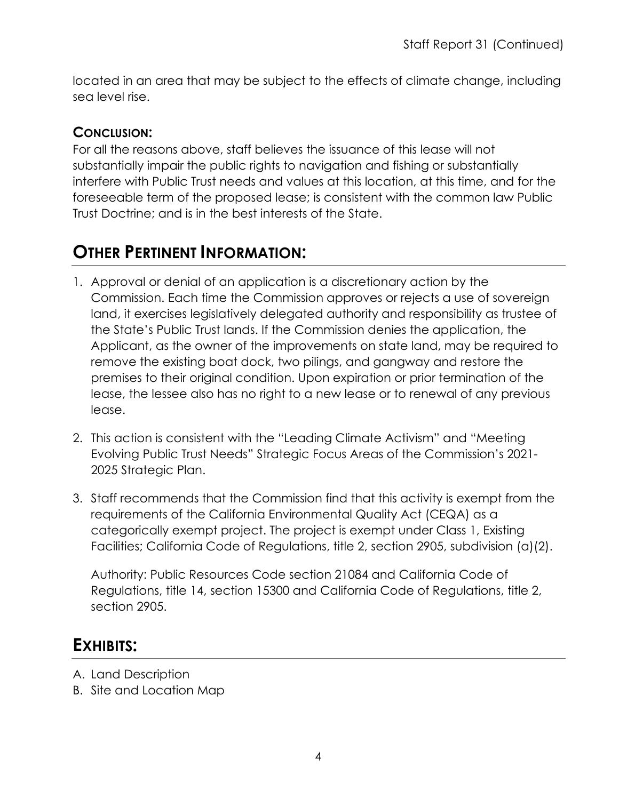located in an area that may be subject to the effects of climate change, including sea level rise.

## **CONCLUSION:**

For all the reasons above, staff believes the issuance of this lease will not substantially impair the public rights to navigation and fishing or substantially interfere with Public Trust needs and values at this location, at this time, and for the foreseeable term of the proposed lease; is consistent with the common law Public Trust Doctrine; and is in the best interests of the State.

# **OTHER PERTINENT INFORMATION:**

- 1. Approval or denial of an application is a discretionary action by the Commission. Each time the Commission approves or rejects a use of sovereign land, it exercises legislatively delegated authority and responsibility as trustee of the State's Public Trust lands. If the Commission denies the application, the Applicant, as the owner of the improvements on state land, may be required to remove the existing boat dock, two pilings, and gangway and restore the premises to their original condition. Upon expiration or prior termination of the lease, the lessee also has no right to a new lease or to renewal of any previous lease.
- 2. This action is consistent with the "Leading Climate Activism" and "Meeting Evolving Public Trust Needs" Strategic Focus Areas of the Commission's 2021- 2025 Strategic Plan.
- 3. Staff recommends that the Commission find that this activity is exempt from the requirements of the California Environmental Quality Act (CEQA) as a categorically exempt project. The project is exempt under Class 1, Existing Facilities; California Code of Regulations, title 2, section 2905, subdivision (a)(2).

Authority: Public Resources Code section 21084 and California Code of Regulations, title 14, section 15300 and California Code of Regulations, title 2, section 2905.

# **EXHIBITS:**

- A. Land Description
- B. Site and Location Map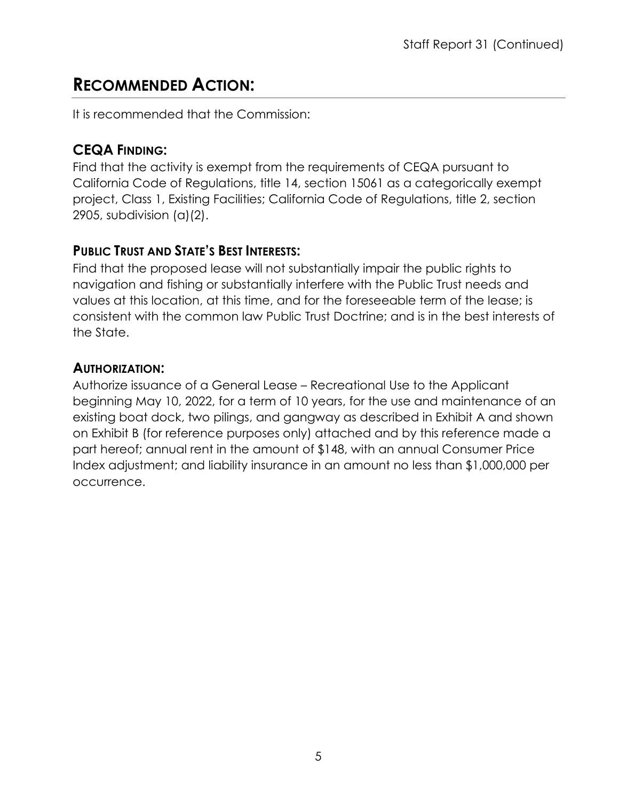# **RECOMMENDED ACTION:**

It is recommended that the Commission:

## **CEQA FINDING:**

Find that the activity is exempt from the requirements of CEQA pursuant to California Code of Regulations, title 14, section 15061 as a categorically exempt project, Class 1, Existing Facilities; California Code of Regulations, title 2, section 2905, subdivision (a)(2).

# **PUBLIC TRUST AND STATE'S BEST INTERESTS:**

Find that the proposed lease will not substantially impair the public rights to navigation and fishing or substantially interfere with the Public Trust needs and values at this location, at this time, and for the foreseeable term of the lease; is consistent with the common law Public Trust Doctrine; and is in the best interests of the State.

# **AUTHORIZATION:**

Authorize issuance of a General Lease – Recreational Use to the Applicant beginning May 10, 2022, for a term of 10 years, for the use and maintenance of an existing boat dock, two pilings, and gangway as described in Exhibit A and shown on Exhibit B (for reference purposes only) attached and by this reference made a part hereof; annual rent in the amount of \$148, with an annual Consumer Price Index adjustment; and liability insurance in an amount no less than \$1,000,000 per occurrence.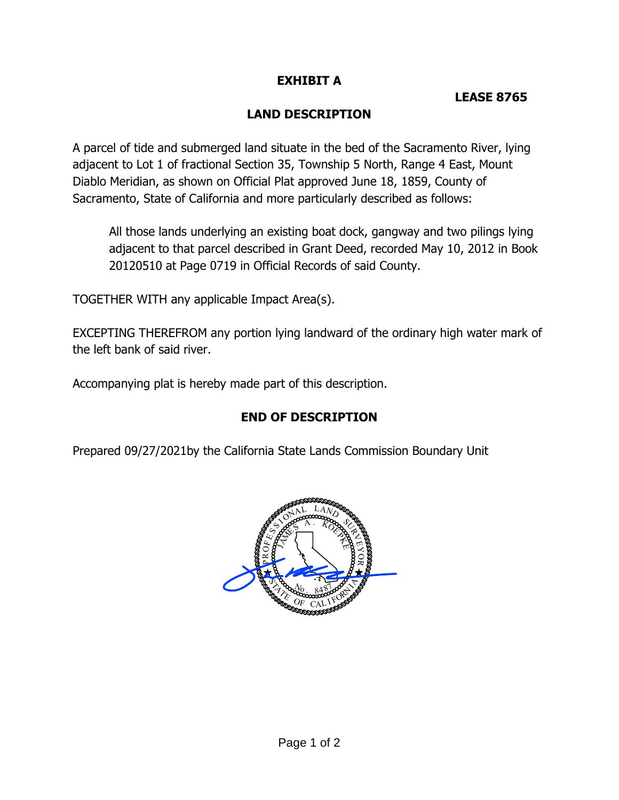#### **EXHIBIT A**

#### **LEASE 8765**

#### **LAND DESCRIPTION**

 A parcel of tide and submerged land situate in the bed of the Sacramento River, lying adjacent to Lot 1 of fractional Section 35, Township 5 North, Range 4 East, Mount Diablo Meridian, as shown on Official Plat approved June 18, 1859, County of Sacramento, State of California and more particularly described as follows:

 All those lands underlying an existing boat dock, gangway and two pilings lying adjacent to that parcel described in Grant Deed, recorded May 10, 2012 in Book 20120510 at Page 0719 in Official Records of said County.

TOGETHER WITH any applicable Impact Area(s).

 EXCEPTING THEREFROM any portion lying landward of the ordinary high water mark of the left bank of said river.

Accompanying plat is hereby made part of this description.

#### **END OF DESCRIPTION**

Prepared 09/27/2021by the California State Lands Commission Boundary Unit

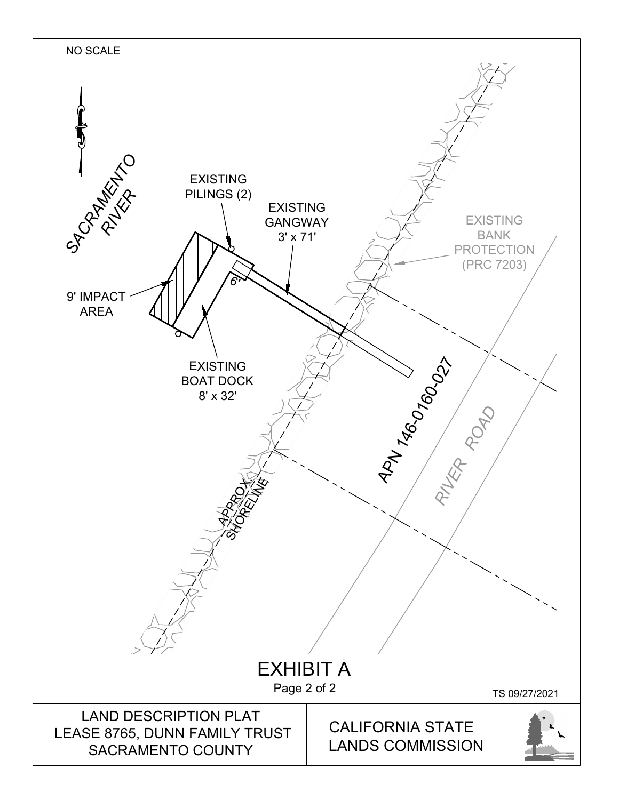